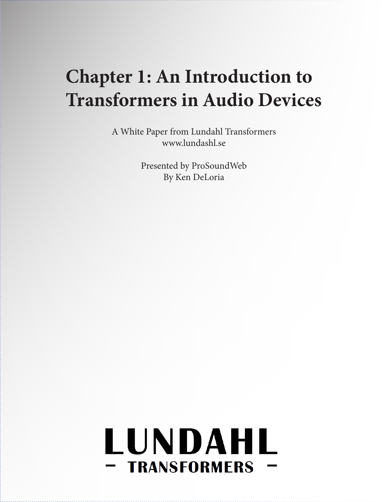## **Chapter 1: An Introduction to Transformers in Audio Devices**

A White Paper from Lundahl Transformers www.lundashl.se

> Presented by ProSoundWeb By Ken DeLoria

# LUNDAHL - TRANSFORMERS ·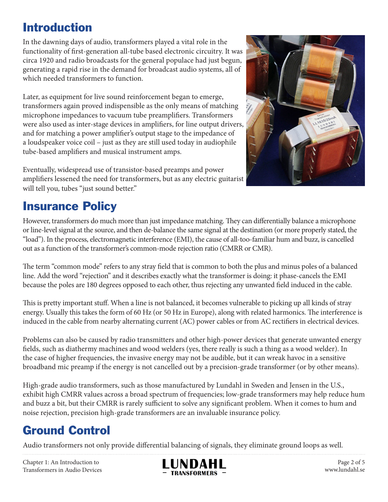#### Introduction

In the dawning days of audio, transformers played a vital role in the functionality of first-generation all-tube based electronic circuitry. It was circa 1920 and radio broadcasts for the general populace had just begun, generating a rapid rise in the demand for broadcast audio systems, all of which needed transformers to function.

Later, as equipment for live sound reinforcement began to emerge, transformers again proved indispensible as the only means of matching microphone impedances to vacuum tube preamplifiers. Transformers were also used as inter-stage devices in amplifiers, for line output drivers, and for matching a power amplifier's output stage to the impedance of a loudspeaker voice coil – just as they are still used today in audiophile tube-based amplifiers and musical instrument amps.

Eventually, widespread use of transistor-based preamps and power amplifiers lessened the need for transformers, but as any electric guitarist will tell you, tubes "just sound better."



#### Insurance Policy

However, transformers do much more than just impedance matching. They can differentially balance a microphone or line-level signal at the source, and then de-balance the same signal at the destination (or more properly stated, the "load"). In the process, electromagnetic interference (EMI), the cause of all-too-familiar hum and buzz, is cancelled out as a function of the transformer's common-mode rejection ratio (CMRR or CMR).

The term "common mode" refers to any stray field that is common to both the plus and minus poles of a balanced line. Add the word "rejection" and it describes exactly what the transformer is doing: it phase-cancels the EMI because the poles are 180 degrees opposed to each other, thus rejecting any unwanted field induced in the cable.

This is pretty important stuff. When a line is not balanced, it becomes vulnerable to picking up all kinds of stray energy. Usually this takes the form of 60 Hz (or 50 Hz in Europe), along with related harmonics. The interference is induced in the cable from nearby alternating current (AC) power cables or from AC rectifiers in electrical devices.

Problems can also be caused by radio transmitters and other high-power devices that generate unwanted energy fields, such as diathermy machines and wood welders (yes, there really is such a thing as a wood welder). In the case of higher frequencies, the invasive energy may not be audible, but it can wreak havoc in a sensitive broadband mic preamp if the energy is not cancelled out by a precision-grade transformer (or by other means).

High-grade audio transformers, such as those manufactured by Lundahl in Sweden and Jensen in the U.S., exhibit high CMRR values across a broad spectrum of frequencies; low-grade transformers may help reduce hum and buzz a bit, but their CMRR is rarely sufficient to solve any significant problem. When it comes to hum and noise rejection, precision high-grade transformers are an invaluable insurance policy.

### Ground Control

Audio transformers not only provide differential balancing of signals, they eliminate ground loops as well.

Chapter 1: An Introduction to Transformers in Audio Devices



Page 2 of 5 www.lundahl.se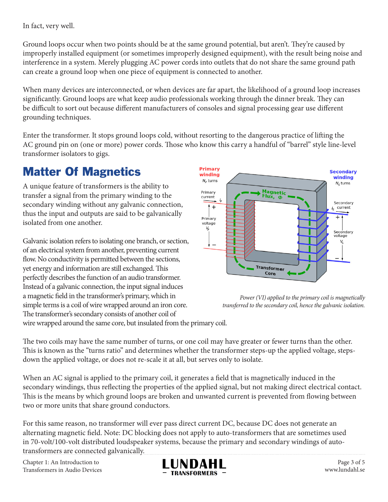In fact, very well.

Ground loops occur when two points should be at the same ground potential, but aren't. They're caused by improperly installed equipment (or sometimes improperly designed equipment), with the result being noise and interference in a system. Merely plugging AC power cords into outlets that do not share the same ground path can create a ground loop when one piece of equipment is connected to another.

When many devices are interconnected, or when devices are far apart, the likelihood of a ground loop increases significantly. Ground loops are what keep audio professionals working through the dinner break. They can be difficult to sort out because different manufacturers of consoles and signal processing gear use different grounding techniques.

Enter the transformer. It stops ground loops cold, without resorting to the dangerous practice of lifting the AC ground pin on (one or more) power cords. Those who know this carry a handful of "barrel" style line-level transformer isolators to gigs.

#### Matter Of Magnetics

A unique feature of transformers is the ability to transfer a signal from the primary winding to the secondary winding without any galvanic connection, thus the input and outputs are said to be galvanically isolated from one another.

Galvanic isolation refers to isolating one branch, or section, of an electrical system from another, preventing current flow. No conductivity is permitted between the sections, yet energy and information are still exchanged. This perfectly describes the function of an audio transformer. Instead of a galvanic connection, the input signal induces a magnetic field in the transformer's primary, which in simple terms is a coil of wire wrapped around an iron core. The transformer's secondary consists of another coil of



*Power (VI) applied to the primary coil is magnetically transferred to the secondary coil, hence the galvanic isolation.*

wire wrapped around the same core, but insulated from the primary coil.

The two coils may have the same number of turns, or one coil may have greater or fewer turns than the other. This is known as the "turns ratio" and determines whether the transformer steps-up the applied voltage, stepsdown the applied voltage, or does not re-scale it at all, but serves only to isolate.

When an AC signal is applied to the primary coil, it generates a field that is magnetically induced in the secondary windings, thus reflecting the properties of the applied signal, but not making direct electrical contact. This is the means by which ground loops are broken and unwanted current is prevented from flowing between two or more units that share ground conductors.

For this same reason, no transformer will ever pass direct current DC, because DC does not generate an alternating magnetic field. Note: DC blocking does not apply to auto-transformers that are sometimes used in 70-volt/100-volt distributed loudspeaker systems, because the primary and secondary windings of autotransformers are connected galvanically.

Chapter 1: An Introduction to Transformers in Audio Devices



Page 3 of 5 www.lundahl.se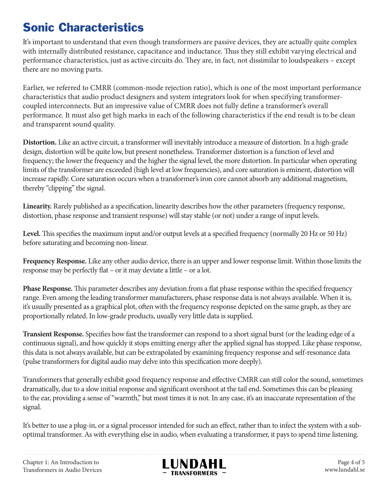#### Sonic Characteristics

It's important to understand that even though transformers are passive devices, they are actually quite complex with internally distributed resistance, capacitance and inductance. Thus they still exhibit varying electrical and performance characteristics, just as active circuits do. They are, in fact, not dissimilar to loudspeakers – except there are no moving parts.

Earlier, we referred to CMRR (common-mode rejection ratio), which is one of the most important performance characteristics that audio product designers and system integrators look for when specifying transformercoupled interconnects. But an impressive value of CMRR does not fully define a transformer's overall performance. It must also get high marks in each of the following characteristics if the end result is to be clean and transparent sound quality.

**Distortion.** Like an active circuit, a transformer will inevitably introduce a measure of distortion. In a high-grade design, distortion will be quite low, but present nonetheless. Transformer distortion is a function of level and frequency; the lower the frequency and the higher the signal level, the more distortion. In particular when operating limits of the transformer are exceeded (high level at low frequencies), and core saturation is eminent, distortion will increase rapidly. Core saturation occurs when a transformer's iron core cannot absorb any additional magnetism, thereby "clipping" the signal.

**Linearity.** Rarely published as a specification, linearity describes how the other parameters (frequency response, distortion, phase response and transient response) will stay stable (or not) under a range of input levels.

Level. This specifies the maximum input and/or output levels at a specified frequency (normally 20 Hz or 50 Hz) before saturating and becoming non-linear.

**Frequency Response.** Like any other audio device, there is an upper and lower response limit. Within those limits the response may be perfectly flat – or it may deviate a little – or a lot.

**Phase Response.** This parameter describes any deviation from a flat phase response within the specified frequency range. Even among the leading transformer manufacturers, phase response data is not always available. When it is, it's usually presented as a graphical plot, often with the frequency response depicted on the same graph, as they are proportionally related. In low-grade products, usually very little data is supplied.

**Transient Response.** Specifies how fast the transformer can respond to a short signal burst (or the leading edge of a continuous signal), and how quickly it stops emitting energy after the applied signal has stopped. Like phase response, this data is not always available, but can be extrapolated by examining frequency response and self-resonance data (pulse transformers for digital audio may delve into this specification more deeply).

Transformers that generally exhibit good frequency response and effective CMRR can still color the sound, sometimes dramatically, due to a slow initial response and significant overshoot at the tail end. Sometimes this can be pleasing to the ear, providing a sense of "warmth," but most times it is not. In any case, it's an inaccurate representation of the signal.

It's better to use a plug-in, or a signal processor intended for such an effect, rather than to infect the system with a suboptimal transformer. As with everything else in audio, when evaluating a transformer, it pays to spend time listening.